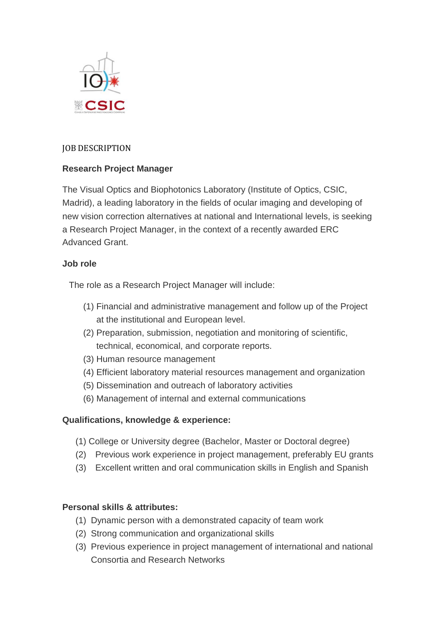

## JOB DESCRIPTION

# **Research Project Manager**

The Visual Optics and Biophotonics Laboratory (Institute of Optics, CSIC, Madrid), a leading laboratory in the fields of ocular imaging and developing of new vision correction alternatives at national and International levels, is seeking a Research Project Manager, in the context of a recently awarded ERC Advanced Grant.

### **Job role**

The role as a Research Project Manager will include:

- (1) Financial and administrative management and follow up of the Project at the institutional and European level.
- (2) Preparation, submission, negotiation and monitoring of scientific, technical, economical, and corporate reports.
- (3) Human resource management
- (4) Efficient laboratory material resources management and organization
- (5) Dissemination and outreach of laboratory activities
- (6) Management of internal and external communications

### **Qualifications, knowledge & experience:**

- (1) College or University degree (Bachelor, Master or Doctoral degree)
- (2) Previous work experience in project management, preferably EU grants
- (3) Excellent written and oral communication skills in English and Spanish

### **Personal skills & attributes:**

- (1) Dynamic person with a demonstrated capacity of team work
- (2) Strong communication and organizational skills
- (3) Previous experience in project management of international and national Consortia and Research Networks